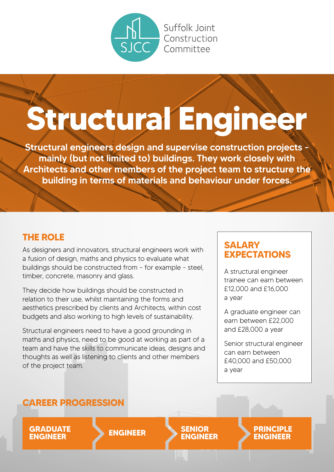

#### Suffolk loint Construction Committee

# **Structural Engineer**

Structural engineers design and supervise construction projects mainly (but not limited to) buildings. They work closely with Architects and other members of the project team to structure the building in terms of materials and behaviour under forces.

### **THE ROLE**

As designers and innovators, structural engineers work with a fusion of design, maths and physics to evaluate what buildings should be constructed from - for example - steel, timber, concrete, masonry and glass.

They decide how buildings should be constructed in relation to their use, whilst maintaining the forms and aesthetics prescribed by clients and Architects, within cost budgets and also working to high levels of sustainability.

Structural engineers need to have a good grounding in maths and physics, need to be good at working as part of a team and have the skills to communicate ideas, designs and thoughts as well as listening to clients and other members of the project team.

### **SALARY EXPECTATIONS**

A structural engineer trainee can earn between £12,000 and £16,000 a year

A graduate engineer can earn between £22,000 and £28,000 a year

Senior structural engineer can earn between £40,000 and £50,000 a year

### **CAREER PROGRESSION**

**GRADUATE ENGINEER ENGINEER SENIOR ENGINEER**

**PRINCIPLE ENGINEER**